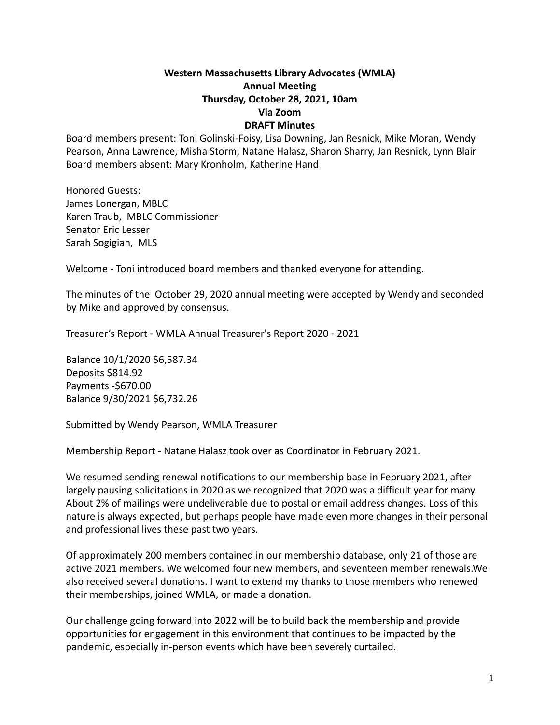## **Western Massachusetts Library Advocates (WMLA) Annual Meeting Thursday, October 28, 2021, 10am Via Zoom DRAFT Minutes**

Board members present: Toni Golinski-Foisy, Lisa Downing, Jan Resnick, Mike Moran, Wendy Pearson, Anna Lawrence, Misha Storm, Natane Halasz, Sharon Sharry, Jan Resnick, Lynn Blair Board members absent: Mary Kronholm, Katherine Hand

Honored Guests: James Lonergan, MBLC Karen Traub, MBLC Commissioner Senator Eric Lesser Sarah Sogigian, MLS

Welcome - Toni introduced board members and thanked everyone for attending.

The minutes of the October 29, 2020 annual meeting were accepted by Wendy and seconded by Mike and approved by consensus.

Treasurer's Report - WMLA Annual Treasurer's Report 2020 - 2021

Balance 10/1/2020 \$6,587.34 Deposits \$814.92 Payments -\$670.00 Balance 9/30/2021 \$6,732.26

Submitted by Wendy Pearson, WMLA Treasurer

Membership Report - Natane Halasz took over as Coordinator in February 2021.

We resumed sending renewal notifications to our membership base in February 2021, after largely pausing solicitations in 2020 as we recognized that 2020 was a difficult year for many. About 2% of mailings were undeliverable due to postal or email address changes. Loss of this nature is always expected, but perhaps people have made even more changes in their personal and professional lives these past two years.

Of approximately 200 members contained in our membership database, only 21 of those are active 2021 members. We welcomed four new members, and seventeen member renewals.We also received several donations. I want to extend my thanks to those members who renewed their memberships, joined WMLA, or made a donation.

Our challenge going forward into 2022 will be to build back the membership and provide opportunities for engagement in this environment that continues to be impacted by the pandemic, especially in-person events which have been severely curtailed.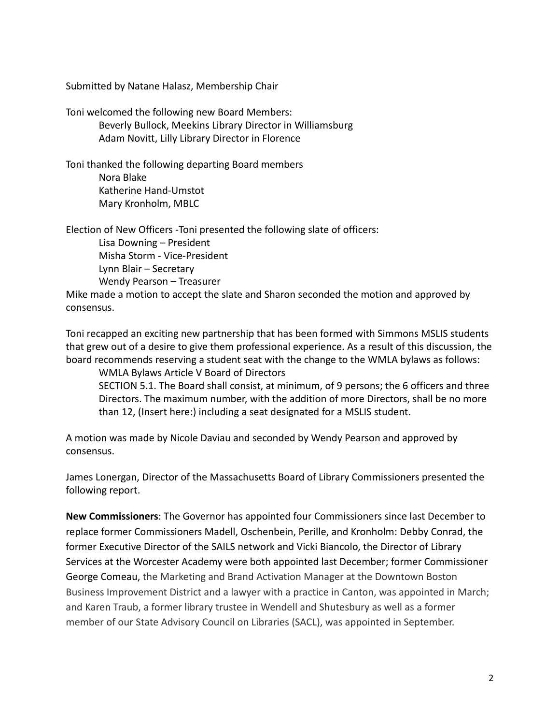Submitted by Natane Halasz, Membership Chair

Toni welcomed the following new Board Members: Beverly Bullock, Meekins Library Director in Williamsburg Adam Novitt, Lilly Library Director in Florence

Toni thanked the following departing Board members Nora Blake Katherine Hand-Umstot Mary Kronholm, MBLC

Election of New Officers -Toni presented the following slate of officers: Lisa Downing – President Misha Storm - Vice-President Lynn Blair – Secretary Wendy Pearson – Treasurer

Mike made a motion to accept the slate and Sharon seconded the motion and approved by consensus.

Toni recapped an exciting new partnership that has been formed with Simmons MSLIS students that grew out of a desire to give them professional experience. As a result of this discussion, the board recommends reserving a student seat with the change to the WMLA bylaws as follows:

WMLA Bylaws Article V Board of Directors SECTION 5.1. The Board shall consist, at minimum, of 9 persons; the 6 officers and three Directors. The maximum number, with the addition of more Directors, shall be no more than 12, (Insert here:) including a seat designated for a MSLIS student.

A motion was made by Nicole Daviau and seconded by Wendy Pearson and approved by consensus.

James Lonergan, Director of the Massachusetts Board of Library Commissioners presented the following report.

**New Commissioners**: The Governor has appointed four Commissioners since last December to replace former Commissioners Madell, Oschenbein, Perille, and Kronholm: Debby Conrad, the former Executive Director of the SAILS network and Vicki Biancolo, the Director of Library Services at the Worcester Academy were both appointed last December; former Commissioner George Comeau, the Marketing and Brand Activation Manager at the Downtown Boston Business Improvement District and a lawyer with a practice in Canton, was appointed in March; and Karen Traub, a former library trustee in Wendell and Shutesbury as well as a former member of our State Advisory Council on Libraries (SACL), was appointed in September.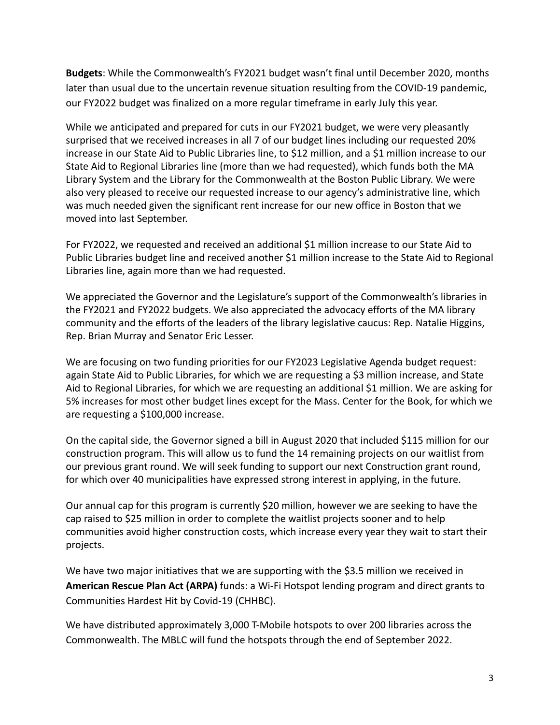**Budgets**: While the Commonwealth's FY2021 budget wasn't final until December 2020, months later than usual due to the uncertain revenue situation resulting from the COVID-19 pandemic, our FY2022 budget was finalized on a more regular timeframe in early July this year.

While we anticipated and prepared for cuts in our FY2021 budget, we were very pleasantly surprised that we received increases in all 7 of our budget lines including our requested 20% increase in our State Aid to Public Libraries line, to \$12 million, and a \$1 million increase to our State Aid to Regional Libraries line (more than we had requested), which funds both the MA Library System and the Library for the Commonwealth at the Boston Public Library. We were also very pleased to receive our requested increase to our agency's administrative line, which was much needed given the significant rent increase for our new office in Boston that we moved into last September.

For FY2022, we requested and received an additional \$1 million increase to our State Aid to Public Libraries budget line and received another \$1 million increase to the State Aid to Regional Libraries line, again more than we had requested.

We appreciated the Governor and the Legislature's support of the Commonwealth's libraries in the FY2021 and FY2022 budgets. We also appreciated the advocacy efforts of the MA library community and the efforts of the leaders of the library legislative caucus: Rep. Natalie Higgins, Rep. Brian Murray and Senator Eric Lesser.

We are focusing on two funding priorities for our FY2023 Legislative Agenda budget request: again State Aid to Public Libraries, for which we are requesting a \$3 million increase, and State Aid to Regional Libraries, for which we are requesting an additional \$1 million. We are asking for 5% increases for most other budget lines except for the Mass. Center for the Book, for which we are requesting a \$100,000 increase.

On the capital side, the Governor signed a bill in August 2020 that included \$115 million for our construction program. This will allow us to fund the 14 remaining projects on our waitlist from our previous grant round. We will seek funding to support our next Construction grant round, for which over 40 municipalities have expressed strong interest in applying, in the future.

Our annual cap for this program is currently \$20 million, however we are seeking to have the cap raised to \$25 million in order to complete the waitlist projects sooner and to help communities avoid higher construction costs, which increase every year they wait to start their projects.

We have two major initiatives that we are supporting with the \$3.5 million we received in **American Rescue Plan Act (ARPA)** funds: a Wi-Fi Hotspot lending program and direct grants to Communities Hardest Hit by Covid-19 (CHHBC).

We have distributed approximately 3,000 T-Mobile hotspots to over 200 libraries across the Commonwealth. The MBLC will fund the hotspots through the end of September 2022.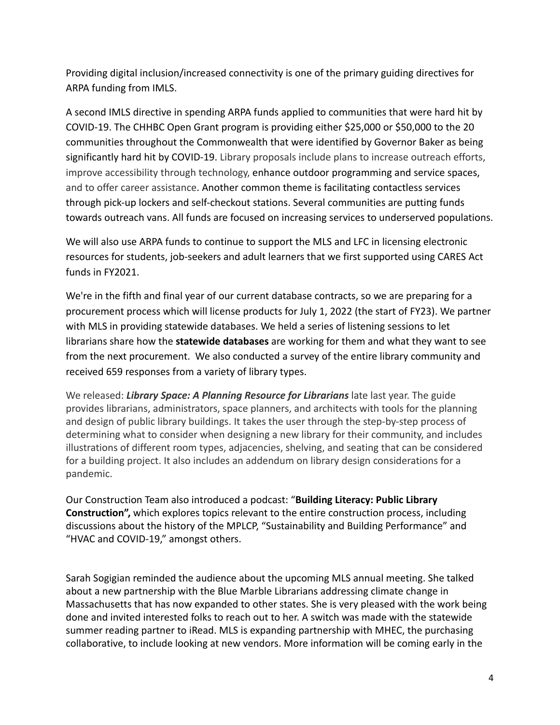Providing digital inclusion/increased connectivity is one of the primary guiding directives for ARPA funding from IMLS.

A second IMLS directive in spending ARPA funds applied to communities that were hard hit by COVID-19. The CHHBC Open Grant program is providing either \$25,000 or \$50,000 to the 20 communities throughout the Commonwealth that were identified by Governor Baker as being significantly hard hit by COVID-19. Library proposals include plans to increase outreach efforts, improve accessibility through technology, enhance outdoor programming and service spaces, and to offer career assistance. Another common theme is facilitating contactless services through pick-up lockers and self-checkout stations. Several communities are putting funds towards outreach vans. All funds are focused on increasing services to underserved populations.

We will also use ARPA funds to continue to support the MLS and LFC in licensing electronic resources for students, job-seekers and adult learners that we first supported using CARES Act funds in FY2021.

We're in the fifth and final year of our current database contracts, so we are preparing for a procurement process which will license products for July 1, 2022 (the start of FY23). We partner with MLS in providing statewide databases. We held a series of listening sessions to let librarians share how the **statewide databases** are working for them and what they want to see from the next procurement. We also conducted a survey of the entire library community and received 659 responses from a variety of library types.

We released: *Library Space: A Planning Resource for Librarians* late last year. The guide provides librarians, administrators, space planners, and architects with tools for the planning and design of public library buildings. It takes the user through the step-by-step process of determining what to consider when designing a new library for their community, and includes illustrations of different room types, adjacencies, shelving, and seating that can be considered for a building project. It also includes an addendum on library design considerations for a pandemic.

Our Construction Team also introduced a podcast: "**Building Literacy: Public Library Construction",** which explores topics relevant to the entire construction process, including discussions about the history of the MPLCP, "Sustainability and Building Performance" and "HVAC and COVID-19," amongst others.

Sarah Sogigian reminded the audience about the upcoming MLS annual meeting. She talked about a new partnership with the Blue Marble Librarians addressing climate change in Massachusetts that has now expanded to other states. She is very pleased with the work being done and invited interested folks to reach out to her. A switch was made with the statewide summer reading partner to iRead. MLS is expanding partnership with MHEC, the purchasing collaborative, to include looking at new vendors. More information will be coming early in the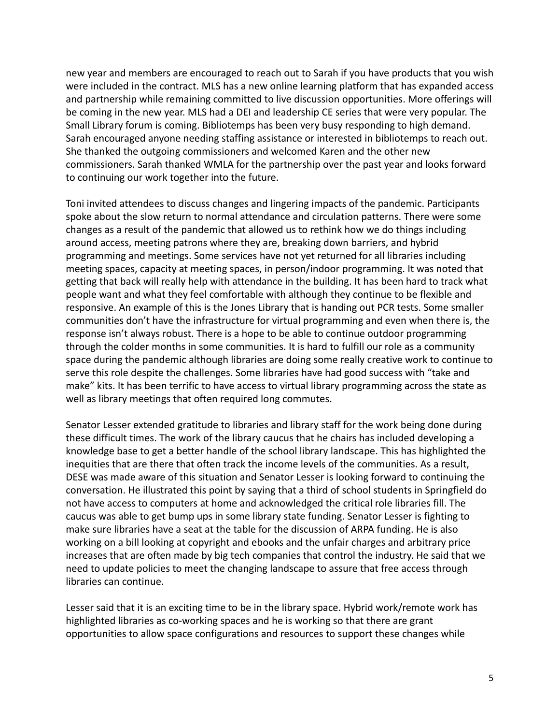new year and members are encouraged to reach out to Sarah if you have products that you wish were included in the contract. MLS has a new online learning platform that has expanded access and partnership while remaining committed to live discussion opportunities. More offerings will be coming in the new year. MLS had a DEI and leadership CE series that were very popular. The Small Library forum is coming. Bibliotemps has been very busy responding to high demand. Sarah encouraged anyone needing staffing assistance or interested in bibliotemps to reach out. She thanked the outgoing commissioners and welcomed Karen and the other new commissioners. Sarah thanked WMLA for the partnership over the past year and looks forward to continuing our work together into the future.

Toni invited attendees to discuss changes and lingering impacts of the pandemic. Participants spoke about the slow return to normal attendance and circulation patterns. There were some changes as a result of the pandemic that allowed us to rethink how we do things including around access, meeting patrons where they are, breaking down barriers, and hybrid programming and meetings. Some services have not yet returned for all libraries including meeting spaces, capacity at meeting spaces, in person/indoor programming. It was noted that getting that back will really help with attendance in the building. It has been hard to track what people want and what they feel comfortable with although they continue to be flexible and responsive. An example of this is the Jones Library that is handing out PCR tests. Some smaller communities don't have the infrastructure for virtual programming and even when there is, the response isn't always robust. There is a hope to be able to continue outdoor programming through the colder months in some communities. It is hard to fulfill our role as a community space during the pandemic although libraries are doing some really creative work to continue to serve this role despite the challenges. Some libraries have had good success with "take and make" kits. It has been terrific to have access to virtual library programming across the state as well as library meetings that often required long commutes.

Senator Lesser extended gratitude to libraries and library staff for the work being done during these difficult times. The work of the library caucus that he chairs has included developing a knowledge base to get a better handle of the school library landscape. This has highlighted the inequities that are there that often track the income levels of the communities. As a result, DESE was made aware of this situation and Senator Lesser is looking forward to continuing the conversation. He illustrated this point by saying that a third of school students in Springfield do not have access to computers at home and acknowledged the critical role libraries fill. The caucus was able to get bump ups in some library state funding. Senator Lesser is fighting to make sure libraries have a seat at the table for the discussion of ARPA funding. He is also working on a bill looking at copyright and ebooks and the unfair charges and arbitrary price increases that are often made by big tech companies that control the industry. He said that we need to update policies to meet the changing landscape to assure that free access through libraries can continue.

Lesser said that it is an exciting time to be in the library space. Hybrid work/remote work has highlighted libraries as co-working spaces and he is working so that there are grant opportunities to allow space configurations and resources to support these changes while